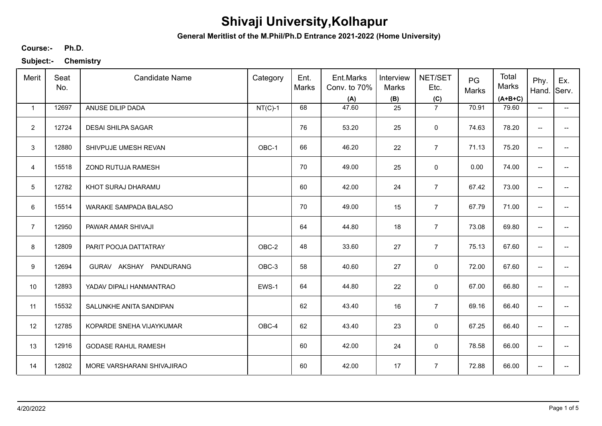**General Meritlist of the M.Phil/Ph.D Entrance 2021-2022 (Home University)**

**Ph.D. Course:-**

| Merit          | Seat<br>No. | <b>Candidate Name</b>      | Category  | Ent.<br>Marks | Ent.Marks<br>Conv. to 70%<br>(A) | Interview<br>Marks<br>(B) | NET/SET<br>Etc.<br>(C) | PG<br>Marks | Total<br>Marks<br>$(A+B+C)$ | Phy.<br>Hand.            | Ex.<br>Serv.             |
|----------------|-------------|----------------------------|-----------|---------------|----------------------------------|---------------------------|------------------------|-------------|-----------------------------|--------------------------|--------------------------|
| $\mathbf{1}$   | 12697       | ANUSE DILIP DADA           | $NT(C)-1$ | 68            | 47.60                            | 25                        | $\overline{7}$         | 70.91       | 79.60                       | $\overline{\phantom{a}}$ | $\overline{\phantom{a}}$ |
| $\overline{2}$ | 12724       | <b>DESAI SHILPA SAGAR</b>  |           | 76            | 53.20                            | 25                        | $\mathbf 0$            | 74.63       | 78.20                       | $\overline{\phantom{a}}$ |                          |
| 3              | 12880       | SHIVPUJE UMESH REVAN       | OBC-1     | 66            | 46.20                            | 22                        | $\overline{7}$         | 71.13       | 75.20                       | ÷                        |                          |
| $\overline{4}$ | 15518       | ZOND RUTUJA RAMESH         |           | 70            | 49.00                            | 25                        | 0                      | 0.00        | 74.00                       | $\overline{\phantom{a}}$ | --                       |
| 5              | 12782       | KHOT SURAJ DHARAMU         |           | 60            | 42.00                            | 24                        | $\overline{7}$         | 67.42       | 73.00                       | $\overline{\phantom{m}}$ | --                       |
| 6              | 15514       | WARAKE SAMPADA BALASO      |           | 70            | 49.00                            | 15                        | $\overline{7}$         | 67.79       | 71.00                       | $\overline{\phantom{m}}$ | --                       |
| $\overline{7}$ | 12950       | PAWAR AMAR SHIVAJI         |           | 64            | 44.80                            | 18                        | $\overline{7}$         | 73.08       | 69.80                       | $\overline{\phantom{m}}$ | --                       |
| 8              | 12809       | PARIT POOJA DATTATRAY      | OBC-2     | 48            | 33.60                            | 27                        | $\overline{7}$         | 75.13       | 67.60                       | $\overline{\phantom{m}}$ |                          |
| 9              | 12694       | GURAV AKSHAY PANDURANG     | OBC-3     | 58            | 40.60                            | 27                        | 0                      | 72.00       | 67.60                       | $\overline{\phantom{a}}$ |                          |
| 10             | 12893       | YADAV DIPALI HANMANTRAO    | EWS-1     | 64            | 44.80                            | 22                        | 0                      | 67.00       | 66.80                       | $\overline{\phantom{a}}$ |                          |
| 11             | 15532       | SALUNKHE ANITA SANDIPAN    |           | 62            | 43.40                            | 16                        | $\overline{7}$         | 69.16       | 66.40                       | $\overline{\phantom{a}}$ |                          |
| 12             | 12785       | KOPARDE SNEHA VIJAYKUMAR   | OBC-4     | 62            | 43.40                            | 23                        | 0                      | 67.25       | 66.40                       | $\overline{\phantom{a}}$ | --                       |
| 13             | 12916       | <b>GODASE RAHUL RAMESH</b> |           | 60            | 42.00                            | 24                        | $\mathbf 0$            | 78.58       | 66.00                       | $\overline{\phantom{a}}$ | $\overline{\phantom{a}}$ |
| 14             | 12802       | MORE VARSHARANI SHIVAJIRAO |           | 60            | 42.00                            | 17                        | $\overline{7}$         | 72.88       | 66.00                       | $\overline{\phantom{a}}$ | --                       |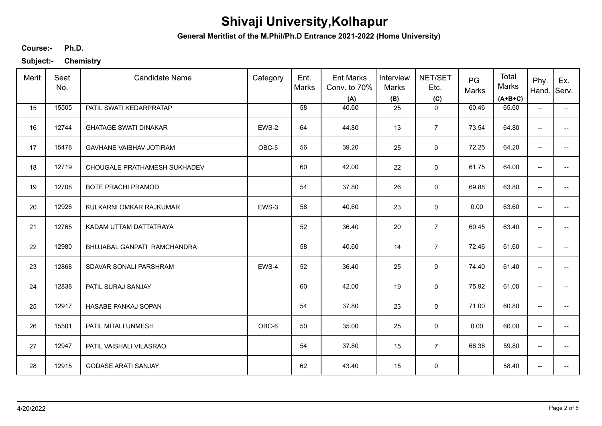**General Meritlist of the M.Phil/Ph.D Entrance 2021-2022 (Home University)**

**Ph.D. Course:-**

| Merit | Seat<br>No. | <b>Candidate Name</b>          | Category | Ent.<br>Marks | Ent.Marks<br>Conv. to 70%<br>(A) | Interview<br><b>Marks</b><br>(B) | NET/SET<br>Etc.<br>(C) | PG<br>Marks | Total<br>Marks<br>$(A+B+C)$ | Phy.<br>Hand.                       | Ex.<br>Serv.             |
|-------|-------------|--------------------------------|----------|---------------|----------------------------------|----------------------------------|------------------------|-------------|-----------------------------|-------------------------------------|--------------------------|
| 15    | 15505       | PATIL SWATI KEDARPRATAP        |          | 58            | 40.60                            | 25                               | $\mathbf 0$            | 60.46       | 65.60                       | $\overline{\phantom{a}}$            | $\overline{\phantom{a}}$ |
| 16    | 12744       | <b>GHATAGE SWATI DINAKAR</b>   | EWS-2    | 64            | 44.80                            | 13                               | $\overline{7}$         | 73.54       | 64.80                       | --                                  |                          |
| 17    | 15478       | <b>GAVHANE VAIBHAV JOTIRAM</b> | OBC-5    | 56            | 39.20                            | 25                               | $\mathsf 0$            | 72.25       | 64.20                       | --                                  | --                       |
| 18    | 12719       | CHOUGALE PRATHAMESH SUKHADEV   |          | 60            | 42.00                            | 22                               | 0                      | 61.75       | 64.00                       | $\overline{\phantom{a}}$            |                          |
| 19    | 12708       | <b>BOTE PRACHI PRAMOD</b>      |          | 54            | 37.80                            | 26                               | 0                      | 69.88       | 63.80                       | $\overline{\phantom{a}}$            | $\overline{a}$           |
| 20    | 12926       | KULKARNI OMKAR RAJKUMAR        | EWS-3    | 58            | 40.60                            | 23                               | $\mathbf 0$            | 0.00        | 63.60                       | $\overline{\phantom{a}}$            | --                       |
| 21    | 12765       | KADAM UTTAM DATTATRAYA         |          | 52            | 36.40                            | 20                               | $\overline{7}$         | 60.45       | 63.40                       | $\overline{\phantom{a}}$            | $\qquad \qquad -$        |
| 22    | 12980       | BHUJABAL GANPATI RAMCHANDRA    |          | 58            | 40.60                            | 14                               | $\overline{7}$         | 72.46       | 61.60                       | $\overline{\phantom{a}}$            |                          |
| 23    | 12868       | SDAVAR SONALI PARSHRAM         | EWS-4    | 52            | 36.40                            | 25                               | $\mathbf 0$            | 74.40       | 61.40                       | $\overline{\phantom{a}}$            | --                       |
| 24    | 12838       | PATIL SURAJ SANJAY             |          | 60            | 42.00                            | 19                               | 0                      | 75.92       | 61.00                       | --                                  | --                       |
| 25    | 12917       | HASABE PANKAJ SOPAN            |          | 54            | 37.80                            | 23                               | $\mathbf 0$            | 71.00       | 60.80                       | $\overline{\phantom{a}}$            | --                       |
| 26    | 15501       | PATIL MITALI UNMESH            | OBC-6    | 50            | 35.00                            | 25                               | 0                      | 0.00        | 60.00                       | $\overline{\phantom{a}}$            | $\overline{\phantom{a}}$ |
| 27    | 12947       | PATIL VAISHALI VILASRAO        |          | 54            | 37.80                            | 15                               | $\overline{7}$         | 66.38       | 59.80                       | $\overline{\phantom{a}}$            | $\overline{\phantom{a}}$ |
| 28    | 12915       | <b>GODASE ARATI SANJAY</b>     |          | 62            | 43.40                            | 15                               | $\pmb{0}$              |             | 58.40                       | $\hspace{0.05cm}$ $\hspace{0.05cm}$ | --                       |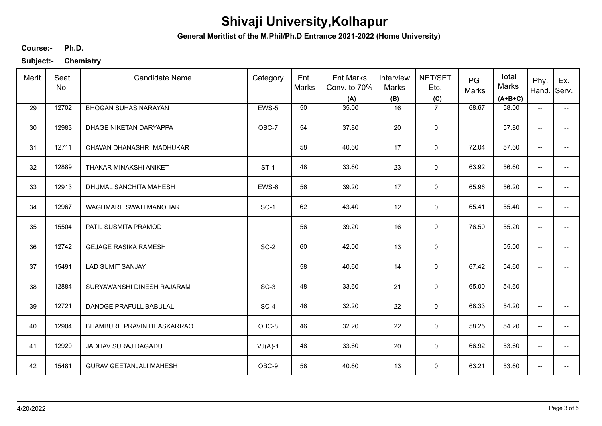**General Meritlist of the M.Phil/Ph.D Entrance 2021-2022 (Home University)**

**Ph.D. Course:-**

| Merit | Seat<br>No. | <b>Candidate Name</b>          | Category  | Ent.<br>Marks | Ent.Marks<br>Conv. to 70%<br>(A) | Interview<br>Marks<br>(B) | NET/SET<br>Etc.<br>(C) | PG<br>Marks | Total<br>Marks<br>$(A+B+C)$ | Phy.<br>Hand.            | Ex.<br>Serv.             |
|-------|-------------|--------------------------------|-----------|---------------|----------------------------------|---------------------------|------------------------|-------------|-----------------------------|--------------------------|--------------------------|
| 29    | 12702       | <b>BHOGAN SUHAS NARAYAN</b>    | EWS-5     | 50            | 35.00                            | 16                        | $\overline{7}$         | 68.67       | 58.00                       | $\overline{\phantom{a}}$ | $\overline{\phantom{a}}$ |
| 30    | 12983       | DHAGE NIKETAN DARYAPPA         | OBC-7     | 54            | 37.80                            | 20                        | 0                      |             | 57.80                       | --                       |                          |
| 31    | 12711       | CHAVAN DHANASHRI MADHUKAR      |           | 58            | 40.60                            | 17                        | $\mathbf 0$            | 72.04       | 57.60                       | --                       | --                       |
| 32    | 12889       | THAKAR MINAKSHI ANIKET         | $ST-1$    | 48            | 33.60                            | 23                        | 0                      | 63.92       | 56.60                       | $\overline{\phantom{a}}$ |                          |
| 33    | 12913       | DHUMAL SANCHITA MAHESH         | EWS-6     | 56            | 39.20                            | 17                        | $\mathbf 0$            | 65.96       | 56.20                       | $\overline{\phantom{a}}$ | --                       |
| 34    | 12967       | WAGHMARE SWATI MANOHAR         | $SC-1$    | 62            | 43.40                            | 12                        | 0                      | 65.41       | 55.40                       | $\overline{\phantom{a}}$ | --                       |
| 35    | 15504       | PATIL SUSMITA PRAMOD           |           | 56            | 39.20                            | 16                        | 0                      | 76.50       | 55.20                       | $\overline{\phantom{a}}$ | $\overline{\phantom{a}}$ |
| 36    | 12742       | <b>GEJAGE RASIKA RAMESH</b>    | $SC-2$    | 60            | 42.00                            | 13                        | 0                      |             | 55.00                       | --                       |                          |
| 37    | 15491       | <b>LAD SUMIT SANJAY</b>        |           | 58            | 40.60                            | 14                        | $\mathbf 0$            | 67.42       | 54.60                       | --                       |                          |
| 38    | 12884       | SURYAWANSHI DINESH RAJARAM     | $SC-3$    | 48            | 33.60                            | 21                        | $\mathbf 0$            | 65.00       | 54.60                       | --                       |                          |
| 39    | 12721       | DANDGE PRAFULL BABULAL         | $SC-4$    | 46            | 32.20                            | 22                        | $\mathbf 0$            | 68.33       | 54.20                       | $\overline{\phantom{a}}$ | --                       |
| 40    | 12904       | BHAMBURE PRAVIN BHASKARRAO     | OBC-8     | 46            | 32.20                            | 22                        | 0                      | 58.25       | 54.20                       | $\overline{\phantom{a}}$ | --                       |
| 41    | 12920       | JADHAV SURAJ DAGADU            | $VJ(A)-1$ | 48            | 33.60                            | 20                        | 0                      | 66.92       | 53.60                       | --                       | $\overline{\phantom{a}}$ |
| 42    | 15481       | <b>GURAV GEETANJALI MAHESH</b> | OBC-9     | 58            | 40.60                            | 13                        | 0                      | 63.21       | 53.60                       | --                       | --                       |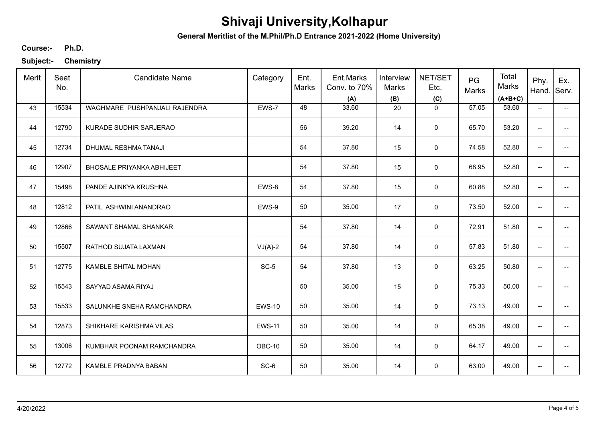**General Meritlist of the M.Phil/Ph.D Entrance 2021-2022 (Home University)**

**Ph.D. Course:-**

| Merit | Seat<br>No. | <b>Candidate Name</b>            | Category      | Ent.<br>Marks | Ent.Marks<br>Conv. to 70%<br>(A) | Interview<br><b>Marks</b><br>(B) | NET/SET<br>Etc.<br>(C) | PG<br>Marks | Total<br>Marks<br>$(A+B+C)$ | Phy.<br>Hand.            | Ex.<br>Serv.             |
|-------|-------------|----------------------------------|---------------|---------------|----------------------------------|----------------------------------|------------------------|-------------|-----------------------------|--------------------------|--------------------------|
| 43    | 15534       | WAGHMARE PUSHPANJALI RAJENDRA    | EWS-7         | 48            | 33.60                            | 20                               | $\mathbf 0$            | 57.05       | 53.60                       | $\overline{\phantom{a}}$ | $\overline{\phantom{a}}$ |
| 44    | 12790       | KURADE SUDHIR SARJERAO           |               | 56            | 39.20                            | 14                               | 0                      | 65.70       | 53.20                       | --                       |                          |
| 45    | 12734       | DHUMAL RESHMA TANAJI             |               | 54            | 37.80                            | 15                               | $\mathsf 0$            | 74.58       | 52.80                       | --                       | --                       |
| 46    | 12907       | <b>BHOSALE PRIYANKA ABHIJEET</b> |               | 54            | 37.80                            | 15                               | 0                      | 68.95       | 52.80                       | $\overline{\phantom{a}}$ |                          |
| 47    | 15498       | PANDE AJINKYA KRUSHNA            | EWS-8         | 54            | 37.80                            | 15                               | $\mathbf 0$            | 60.88       | 52.80                       | $\overline{\phantom{a}}$ | --                       |
| 48    | 12812       | PATIL ASHWINI ANANDRAO           | EWS-9         | 50            | 35.00                            | 17                               | 0                      | 73.50       | 52.00                       | $\overline{\phantom{a}}$ | --                       |
| 49    | 12866       | SAWANT SHAMAL SHANKAR            |               | 54            | 37.80                            | 14                               | 0                      | 72.91       | 51.80                       | $\overline{\phantom{a}}$ | $\overline{\phantom{a}}$ |
| 50    | 15507       | RATHOD SUJATA LAXMAN             | $VJ(A)-2$     | 54            | 37.80                            | 14                               | $\mathbf 0$            | 57.83       | 51.80                       | --                       |                          |
| 51    | 12775       | KAMBLE SHITAL MOHAN              | $SC-5$        | 54            | 37.80                            | 13                               | $\mathbf 0$            | 63.25       | 50.80                       | --                       |                          |
| 52    | 15543       | SAYYAD ASAMA RIYAJ               |               | 50            | 35.00                            | 15                               | $\mathsf 0$            | 75.33       | 50.00                       | --                       |                          |
| 53    | 15533       | SALUNKHE SNEHA RAMCHANDRA        | <b>EWS-10</b> | 50            | 35.00                            | 14                               | $\mathsf 0$            | 73.13       | 49.00                       | $\overline{\phantom{a}}$ | --                       |
| 54    | 12873       | SHIKHARE KARISHMA VILAS          | <b>EWS-11</b> | 50            | 35.00                            | 14                               | 0                      | 65.38       | 49.00                       | $\overline{\phantom{a}}$ | --                       |
| 55    | 13006       | KUMBHAR POONAM RAMCHANDRA        | OBC-10        | 50            | 35.00                            | 14                               | 0                      | 64.17       | 49.00                       | --                       | $\overline{\phantom{a}}$ |
| 56    | 12772       | KAMBLE PRADNYA BABAN             | $SC-6$        | 50            | 35.00                            | 14                               | 0                      | 63.00       | 49.00                       | --                       | --                       |